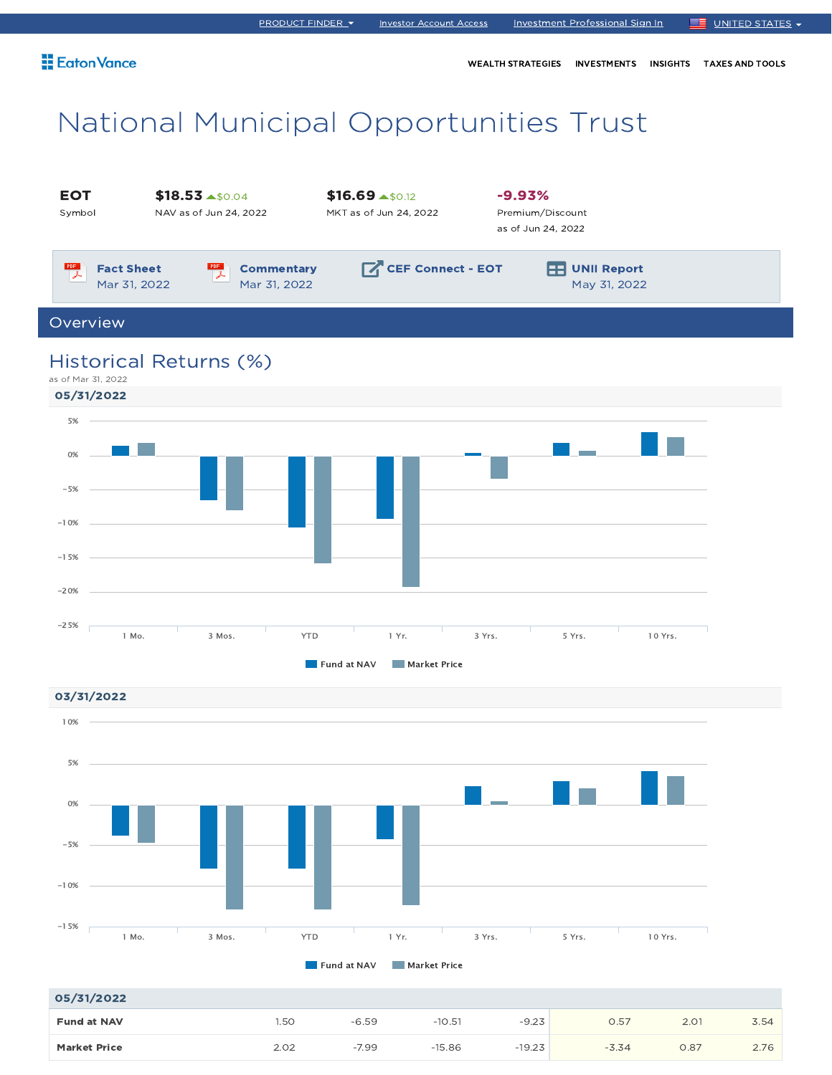WEALTH STRATEGIES INVESTMENTS INSIGHTS TAXES AND TOOLS

# National Municipal Opportunities Trust





| 05/31/2022          |      |         |          |          |         |      |      |
|---------------------|------|---------|----------|----------|---------|------|------|
| <b>Fund at NAV</b>  | .50  | $-6.59$ | $-10.51$ | $-9.23$  | 0.57    | 2.01 | 3.54 |
| <b>Market Price</b> | 2.02 | $-7.99$ | $-15.86$ | $-19.23$ | $-3.34$ | 0.87 | 2.76 |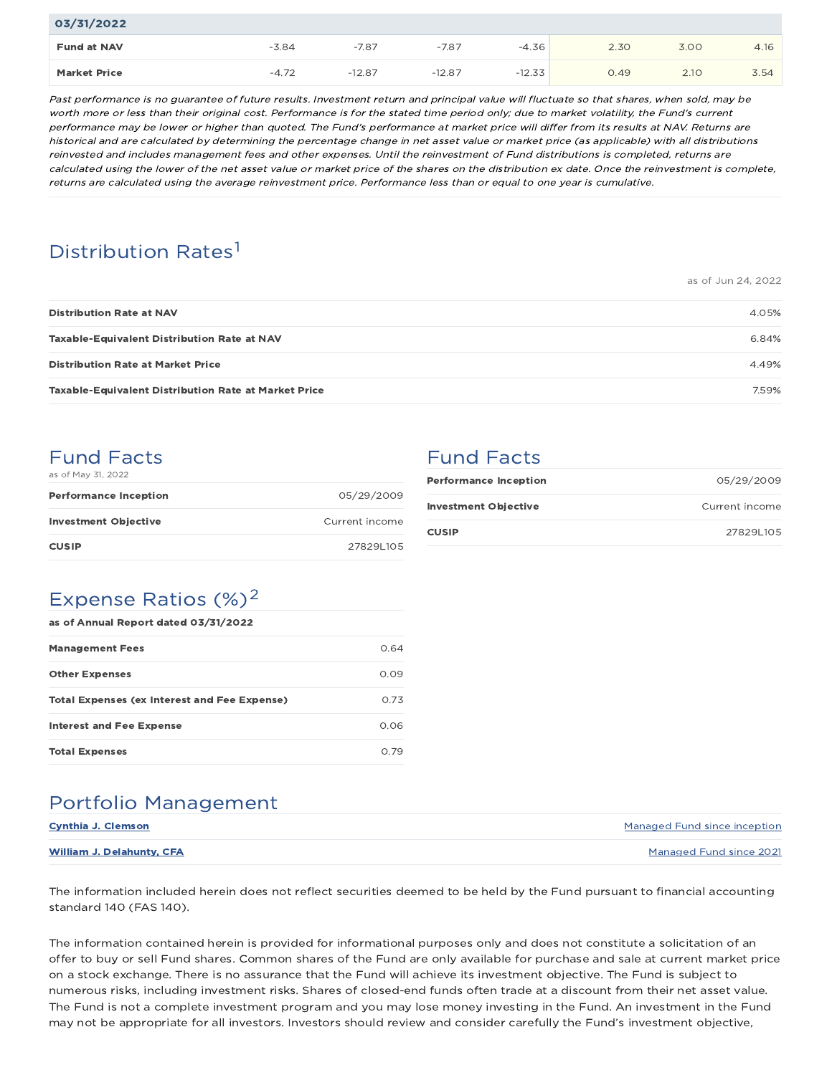| 03/31/2022          |         |          |          |          |      |      |      |
|---------------------|---------|----------|----------|----------|------|------|------|
| <b>Fund at NAV</b>  | $-3.84$ | $-7.87$  | $-7.87$  | $-4.36$  | 2.30 | 3.00 | 4.16 |
| <b>Market Price</b> | $-4.72$ | $-12.87$ | $-12.87$ | $-12.33$ | 0.49 | 2.10 | 3.54 |

Past performance is no guarantee of future results. Investment return and principal value will fluctuate so that shares, when sold, may be worth more or less than their original cost. Performance is for the stated time period only; due to market volatility, the Fund's current performance may be lower or higher than quoted. The Fund's performance at market price will differ from its results at NAV. Returns are historical and are calculated by determining the percentage change in net asset value or market price (as applicable) with all distributions reinvested and includes management fees and other expenses. Until the reinvestment of Fund distributions is completed, returns are calculated using the lower of the net asset value or market price of the shares on the distribution ex date. Once the reinvestment is complete, returns are calculated using the average reinvestment price. Performance less than or equal to one year is cumulative.

# Distribution Rates<sup>1</sup>

|                                                             | as of Jun 24, 2022 |
|-------------------------------------------------------------|--------------------|
| <b>Distribution Rate at NAV</b>                             | 4.05%              |
| <b>Taxable-Equivalent Distribution Rate at NAV</b>          | 6.84%              |
| <b>Distribution Rate at Market Price</b>                    | 4.49%              |
| <b>Taxable-Equivalent Distribution Rate at Market Price</b> | 7.59%              |

### Fund Facts

| as of May 31, 2022           |                |
|------------------------------|----------------|
| <b>Performance Inception</b> | 05/29/2009     |
| <b>Investment Objective</b>  | Current income |

**CUSIP** 27829L105

|  | Fund Facts |  |  |  |
|--|------------|--|--|--|
|  |            |  |  |  |

| <b>Performance Inception</b> | 05/29/2009     |
|------------------------------|----------------|
| <b>Investment Objective</b>  | Current income |
| <b>CUSIP</b>                 | 278291105      |

# Expense Ratios  $(\%)^2$

| as of Annual Report dated 03/31/2022                |      |
|-----------------------------------------------------|------|
| <b>Management Fees</b>                              | 0.64 |
| <b>Other Expenses</b>                               | 0.09 |
| <b>Total Expenses (ex Interest and Fee Expense)</b> | 0.73 |
| <b>Interest and Fee Expense</b>                     | 0.06 |
| <b>Total Expenses</b>                               | N 79 |

## Portfolio Management

| Cynthia J. Clemson        | Managed Fund since inception |
|---------------------------|------------------------------|
| William J. Delahunty, CFA | Managed Fund since 2021      |

The information included herein does not reflect securities deemed to be held by the Fund pursuant to financial accounting standard 140 (FAS 140).

The information contained herein is provided for informational purposes only and does not constitute a solicitation of an offer to buy or sell Fund shares. Common shares of the Fund are only available for purchase and sale at current market price on a stock exchange. There is no assurance that the Fund will achieve its investment objective. The Fund is subject to numerous risks, including investment risks. Shares of closed-end funds often trade at a discount from their net asset value. The Fund is not a complete investment program and you may lose money investing in the Fund. An investment in the Fund may not be appropriate for all investors. Investors should review and consider carefully the Fund's investment objective,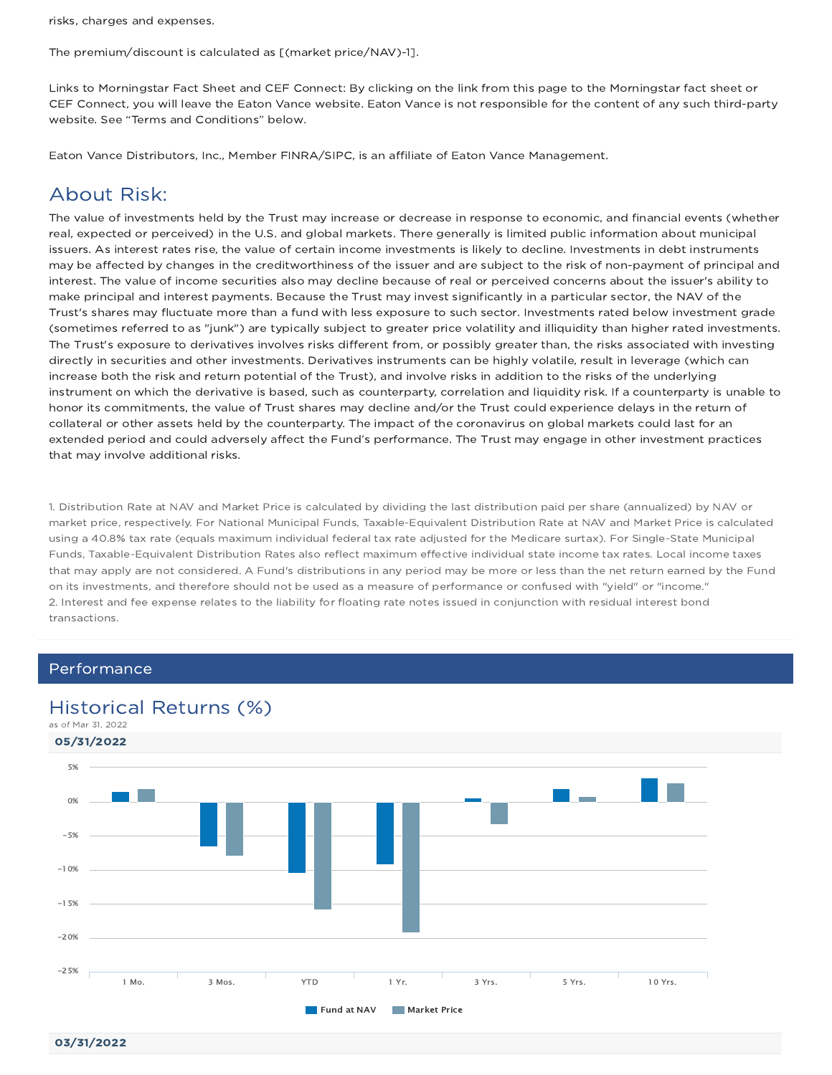risks, charges and expenses.

The premium/discount is calculated as [(market price/NAV)-1].

Links to Morningstar Fact Sheet and CEF Connect: By clicking on the link from this page to the Morningstar fact sheet or CEF Connect, you will leave the Eaton Vance website. Eaton Vance is not responsible for the content of any such third-party website. See "Terms and Conditions" below.

Eaton Vance Distributors, Inc., Member FINRA/SIPC, is an affiliate of Eaton Vance Management.

## About Risk:

The value of investments held by the Trust may increase or decrease in response to economic, and financial events (whether real, expected or perceived) in the U.S. and global markets. There generally is limited public information about municipal issuers. As interest rates rise, the value of certain income investments is likely to decline. Investments in debt instruments may be affected by changes in the creditworthiness of the issuer and are subject to the risk of non-payment of principal and interest. The value of income securities also may decline because of real or perceived concerns about the issuer's ability to make principal and interest payments. Because the Trust may invest significantly in a particular sector, the NAV of the Trust's shares may fluctuate more than a fund with less exposure to such sector. Investments rated below investment grade (sometimes referred to as "junk") are typically subject to greater price volatility and illiquidity than higher rated investments. The Trust's exposure to derivatives involves risks different from, or possibly greater than, the risks associated with investing directly in securities and other investments. Derivatives instruments can be highly volatile, result in leverage (which can increase both the risk and return potential of the Trust), and involve risks in addition to the risks of the underlying instrument on which the derivative is based, such as counterparty, correlation and liquidity risk. If a counterparty is unable to honor its commitments, the value of Trust shares may decline and/or the Trust could experience delays in the return of collateral or other assets held by the counterparty. The impact of the coronavirus on global markets could last for an extended period and could adversely affect the Fund's performance. The Trust may engage in other investment practices that may involve additional risks.

1. Distribution Rate at NAV and Market Price is calculated by dividing the last distribution paid per share (annualized) by NAV or market price, respectively. For National Municipal Funds, Taxable-Equivalent Distribution Rate at NAV and Market Price is calculated using a 40.8% tax rate (equals maximum individual federal tax rate adjusted for the Medicare surtax). For Single-State Municipal Funds, Taxable-Equivalent Distribution Rates also reflect maximum effective individual state income tax rates. Local income taxes that may apply are not considered. A Fund's distributions in any period may be more or less than the net return earned by the Fund on its investments, and therefore should not be used as a measure of performance or confused with "yield" or "income." 2. Interest and fee expense relates to the liability for floating rate notes issued in conjunction with residual interest bond transactions.

### Performance

### Historical Returns (%)



03/31/2022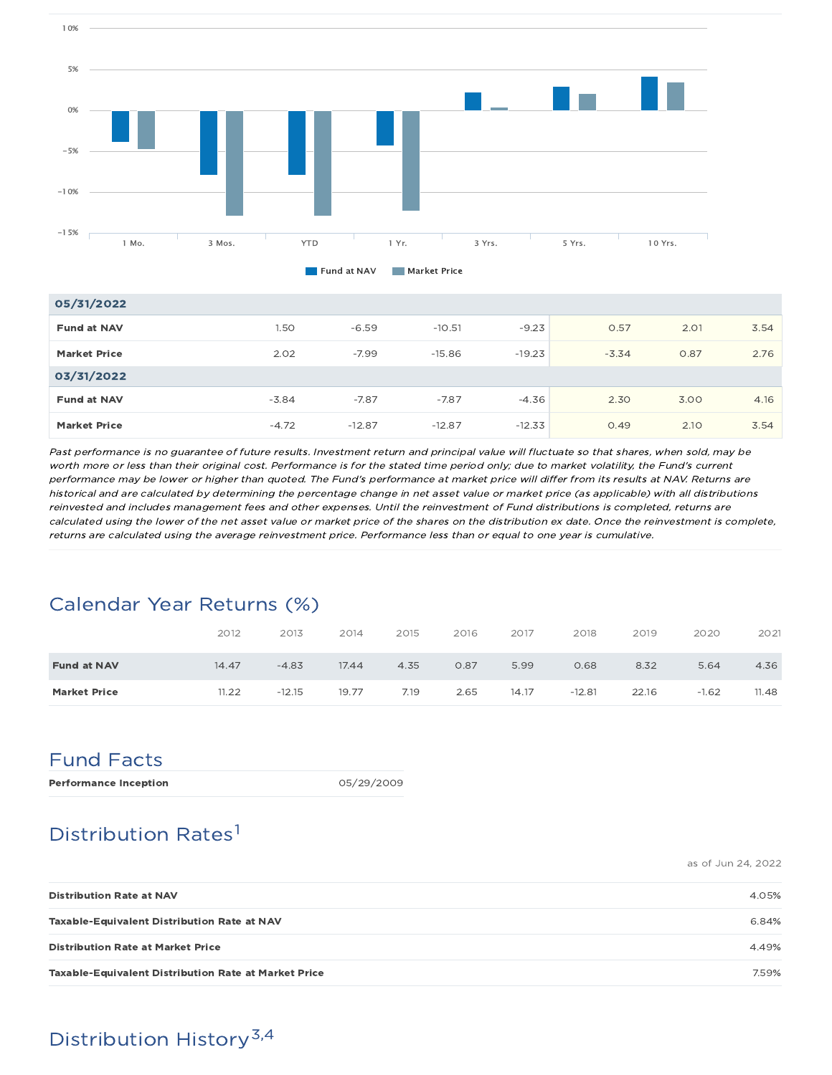

| 05/31/2022          |         |          |          |          |         |      |      |
|---------------------|---------|----------|----------|----------|---------|------|------|
| <b>Fund at NAV</b>  | 1.50    | $-6.59$  | $-10.51$ | $-9.23$  | 0.57    | 2.01 | 3.54 |
| <b>Market Price</b> | 2.02    | $-7.99$  | $-15.86$ | $-19.23$ | $-3.34$ | 0.87 | 2.76 |
| 03/31/2022          |         |          |          |          |         |      |      |
| <b>Fund at NAV</b>  | $-3.84$ | $-7.87$  | $-7.87$  | $-4.36$  | 2.30    | 3.00 | 4.16 |
| <b>Market Price</b> | $-4.72$ | $-12.87$ | $-12.87$ | $-12.33$ | 0.49    | 2.10 | 3.54 |

Past performance is no guarantee of future results. Investment return and principal value will fluctuate so that shares, when sold, may be worth more or less than their original cost. Performance is for the stated time period only; due to market volatility, the Fund's current performance may be lower or higher than quoted. The Fund's performance at market price will differ from its results at NAV. Returns are historical and are calculated by determining the percentage change in net asset value or market price (as applicable) with all distributions reinvested and includes management fees and other expenses. Until the reinvestment of Fund distributions is completed, returns are calculated using the lower of the net asset value or market price of the shares on the distribution ex date. Once the reinvestment is complete, returns are calculated using the average reinvestment price. Performance less than or equal to one year is cumulative.

# Calendar Year Returns (%)

|                     | 2012  | 2013     | 2014  | 2015 | 2016 | 2017  | 2018     | 2019  | 2020    | 2021  |
|---------------------|-------|----------|-------|------|------|-------|----------|-------|---------|-------|
| <b>Fund at NAV</b>  | 14.47 | $-4.83$  | 17.44 | 4.35 | 0.87 | 5.99  | 0.68     | 8.32  | 5.64    | 4.36  |
| <b>Market Price</b> | 11.22 | $-12.15$ | 19.77 | 7.19 | 2.65 | 14.17 | $-12.81$ | 22.16 | $-1.62$ | 11.48 |

## Fund Facts

| <b>Performance Inception</b> | 05/29/2009 |
|------------------------------|------------|
|                              |            |

# Distribution Rates<sup>1</sup>

as of Jun 24, 2022

| <b>Distribution Rate at NAV</b>                             | 4.05% |
|-------------------------------------------------------------|-------|
| <b>Taxable-Equivalent Distribution Rate at NAV</b>          | 6.84% |
| <b>Distribution Rate at Market Price</b>                    | 4.49% |
| <b>Taxable-Equivalent Distribution Rate at Market Price</b> | 7.59% |

# Distribution History 3,4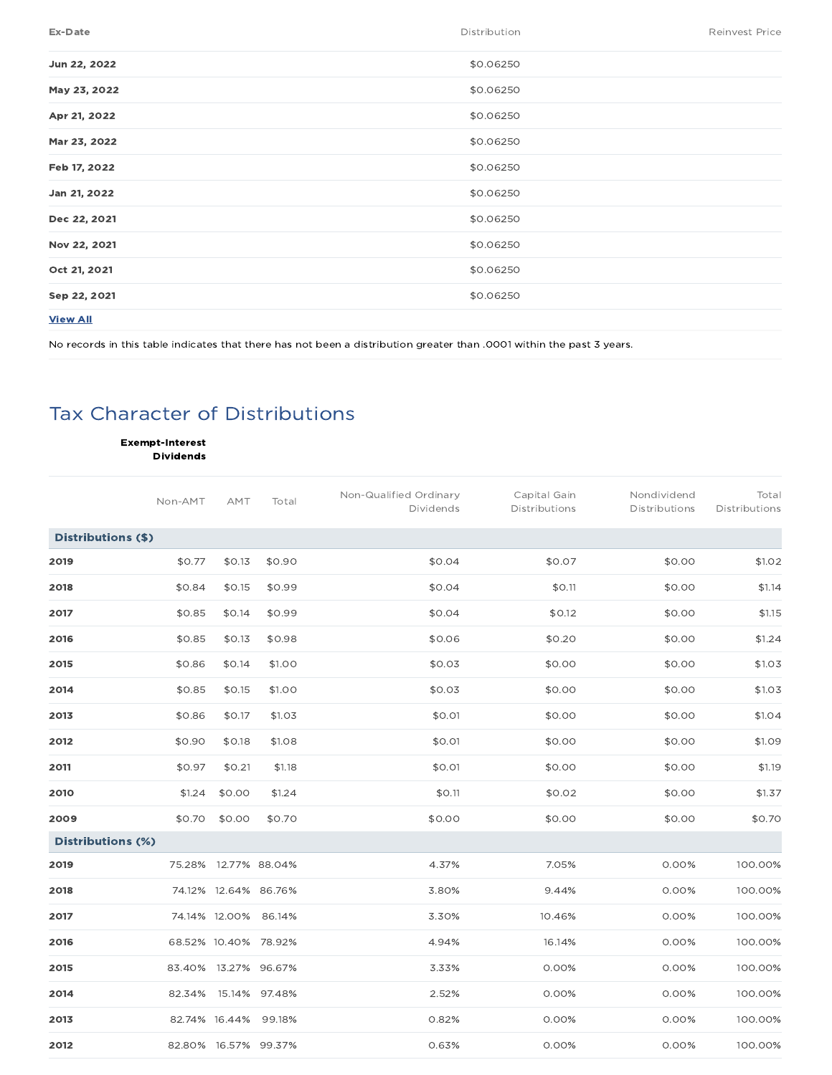| \$0.06250<br>Jun 22, 2022<br>\$0.06250<br>May 23, 2022<br>\$0.06250<br>Apr 21, 2022<br>Mar 23, 2022<br>\$0.06250<br>\$0.06250<br>Feb 17, 2022<br>\$0.06250<br>Jan 21, 2022<br>\$0.06250<br>Dec 22, 2021<br>Nov 22, 2021<br>\$0.06250<br>Oct 21, 2021<br>\$0.06250<br>\$0.06250<br>Sep 22, 2021<br><b>View All</b> | <b>Ex-Date</b> | Distribution | <b>Reinvest Price</b> |
|-------------------------------------------------------------------------------------------------------------------------------------------------------------------------------------------------------------------------------------------------------------------------------------------------------------------|----------------|--------------|-----------------------|
|                                                                                                                                                                                                                                                                                                                   |                |              |                       |
|                                                                                                                                                                                                                                                                                                                   |                |              |                       |
|                                                                                                                                                                                                                                                                                                                   |                |              |                       |
|                                                                                                                                                                                                                                                                                                                   |                |              |                       |
|                                                                                                                                                                                                                                                                                                                   |                |              |                       |
|                                                                                                                                                                                                                                                                                                                   |                |              |                       |
|                                                                                                                                                                                                                                                                                                                   |                |              |                       |
|                                                                                                                                                                                                                                                                                                                   |                |              |                       |
|                                                                                                                                                                                                                                                                                                                   |                |              |                       |
|                                                                                                                                                                                                                                                                                                                   |                |              |                       |
|                                                                                                                                                                                                                                                                                                                   |                |              |                       |

No records in this table indicates that there has not been a distribution greater than .0001 within the past 3 years.

# Tax Character of Distributions

Exempt-Interest Dividends

|                          | Non-AMT | AMT           | Total                | Non-Qualified Ordinary<br>Dividends | Capital Gain<br>Distributions | Nondividend<br>Distributions | Total<br>Distributions |
|--------------------------|---------|---------------|----------------------|-------------------------------------|-------------------------------|------------------------------|------------------------|
| Distributions (\$)       |         |               |                      |                                     |                               |                              |                        |
| 2019                     | \$0.77  | \$0.13        | \$0.90               | \$0.04                              | \$0.07                        | \$0.00                       | \$1.02                 |
| 2018                     | \$0.84  | \$0.15        | \$0.99               | \$0.04                              | \$0.11                        | \$0.00                       | \$1.14                 |
| 2017                     | \$0.85  | \$0.14        | \$0.99               | \$0.04                              | \$0.12                        | \$0.00                       | \$1.15                 |
| 2016                     | \$0.85  | \$0.13        | \$0.98               | \$0.06                              | \$0.20                        | \$0.00                       | \$1.24                 |
| 2015                     | \$0.86  | \$0.14        | \$1.00               | \$0.03                              | \$0.00                        | \$0.00                       | \$1.03                 |
| 2014                     | \$0.85  | \$0.15        | \$1.00               | \$0.03                              | \$0.00                        | \$0.00                       | \$1.03                 |
| 2013                     | \$0.86  | \$0.17        | \$1.03               | \$0.01                              | \$0.00                        | \$0.00                       | \$1.04                 |
| 2012                     | \$0.90  | \$0.18        | \$1.08               | \$0.01                              | \$0.00                        | \$0.00                       | \$1.09                 |
| 2011                     | \$0.97  | \$0.21        | \$1.18               | \$0.01                              | \$0.00                        | \$0.00                       | \$1.19                 |
| 2010                     | \$1.24  | \$0.00        | \$1.24               | \$0.11                              | \$0.02                        | \$0.00                       | \$1.37                 |
| 2009                     | \$0.70  | \$0.00        | \$0.70               | \$0.00                              | \$0.00                        | \$0.00                       | \$0.70                 |
| <b>Distributions (%)</b> |         |               |                      |                                     |                               |                              |                        |
| 2019                     |         |               | 75.28% 12.77% 88.04% | 4.37%                               | 7.05%                         | 0.00%                        | 100.00%                |
| 2018                     |         |               | 74.12% 12.64% 86.76% | 3.80%                               | 9.44%                         | 0.00%                        | 100.00%                |
| 2017                     |         |               | 74.14% 12.00% 86.14% | 3.30%                               | 10.46%                        | 0.00%                        | 100.00%                |
| 2016                     |         |               | 68.52% 10.40% 78.92% | 4.94%                               | 16.14%                        | 0.00%                        | 100.00%                |
| 2015                     |         |               | 83.40% 13.27% 96.67% | 3.33%                               | 0.00%                         | 0.00%                        | 100.00%                |
| 2014                     | 82.34%  |               | 15.14% 97.48%        | 2.52%                               | 0.00%                         | 0.00%                        | 100.00%                |
| 2013                     |         | 82.74% 16.44% | 99.18%               | 0.82%                               | 0.00%                         | 0.00%                        | 100.00%                |
| 2012                     |         |               | 82.80% 16.57% 99.37% | 0.63%                               | 0.00%                         | 0.00%                        | 100.00%                |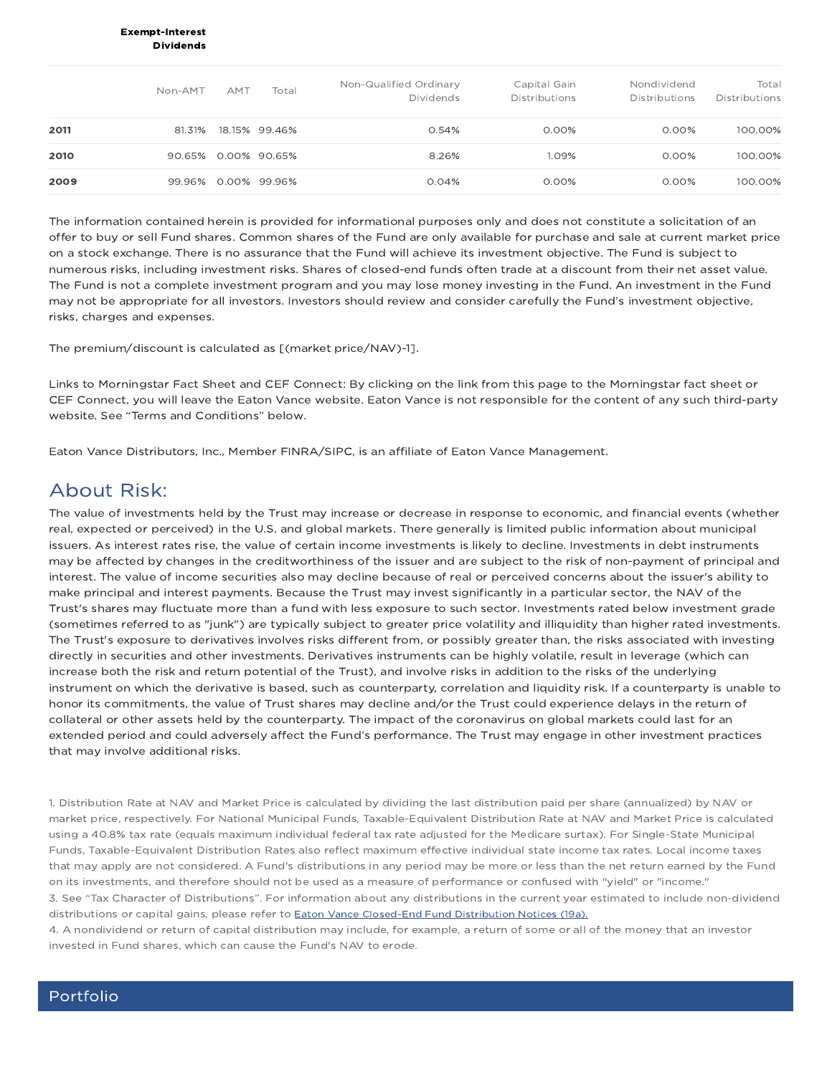#### Exempt-Interest Dividends

|      | Non-AMT | AMT | Total               | Non-Qualified Ordinary<br><b>Dividends</b> | Capital Gain<br><b>Distributions</b> | Nondividend<br><b>Distributions</b> | Total<br><b>Distributions</b> |
|------|---------|-----|---------------------|--------------------------------------------|--------------------------------------|-------------------------------------|-------------------------------|
| 2011 | 81.31%  |     | 18.15% 99.46%       | 0.54%                                      | $0.00\%$                             | $0.00\%$                            | 100.00%                       |
| 2010 |         |     | 90.65% 0.00% 90.65% | 8.26%                                      | 1.09%                                | $0.00\%$                            | 100.00%                       |
| 2009 | 99.96%  |     | 0.00% 99.96%        | 0.04%                                      | $0.00\%$                             | $0.00\%$                            | 100.00%                       |

The information contained herein is provided for informational purposes only and does not constitute a solicitation of an offer to buy or sell Fund shares. Common shares of the Fund are only available for purchase and sale at current market price on a stock exchange. There is no assurance that the Fund will achieve its investment objective. The Fund is subject to numerous risks, including investment risks. Shares of closed-end funds often trade at a discount from their net asset value. The Fund is not a complete investment program and you may lose money investing in the Fund. An investment in the Fund may not be appropriate for all investors. Investors should review and consider carefully the Fund's investment objective, risks, charges and expenses.

The premium/discount is calculated as [(market price/NAV)-1].

Links to Morningstar Fact Sheet and CEF Connect: By clicking on the link from this page to the Morningstar fact sheet or CEF Connect, you will leave the Eaton Vance website. Eaton Vance is not responsible for the content of any such third-party website. See "Terms and Conditions" below.

Eaton Vance Distributors, Inc., Member FINRA/SIPC, is an affiliate of Eaton Vance Management.

### About Risk:

The value of investments held by the Trust may increase or decrease in response to economic, and financial events (whether real, expected or perceived) in the U.S. and global markets. There generally is limited public information about municipal issuers. As interest rates rise, the value of certain income investments is likely to decline. Investments in debt instruments may be affected by changes in the creditworthiness of the issuer and are subject to the risk of non-payment of principal and interest. The value of income securities also may decline because of real or perceived concerns about the issuer's ability to make principal and interest payments. Because the Trust may invest significantly in a particular sector, the NAV of the Trust's shares may fluctuate more than a fund with less exposure to such sector. Investments rated below investment grade (sometimes referred to as "junk") are typically subject to greater price volatility and illiquidity than higher rated investments. The Trust's exposure to derivatives involves risks different from, or possibly greater than, the risks associated with investing directly in securities and other investments. Derivatives instruments can be highly volatile, result in leverage (which can increase both the risk and return potential of the Trust), and involve risks in addition to the risks of the underlying instrument on which the derivative is based, such as counterparty, correlation and liquidity risk. If a counterparty is unable to honor its commitments, the value of Trust shares may decline and/or the Trust could experience delays in the return of collateral or other assets held by the counterparty. The impact of the coronavirus on global markets could last for an extended period and could adversely affect the Fund's performance. The Trust may engage in other investment practices that may involve additional risks.

1. Distribution Rate at NAV and Market Price is calculated by dividing the last distribution paid per share (annualized) by NAV or market price, respectively. For National Municipal Funds, Taxable-Equivalent Distribution Rate at NAV and Market Price is calculated using a 40.8% tax rate (equals maximum individual federal tax rate adjusted for the Medicare surtax). For Single-State Municipal Funds, Taxable-Equivalent Distribution Rates also reflect maximum effective individual state income tax rates. Local income taxes that may apply are not considered. A Fund's distributions in any period may be more or less than the net return earned by the Fund on its investments, and therefore should not be used as a measure of performance or confused with "yield" or "income." 3. See "Tax Character of Distributions". For information about any distributions in the current year estimated to include non-dividend distributions or capital gains, please refer to Eaton Vance Closed-End Fund Distribution Notices (19a).

4. A nondividend or return of capital distribution may include, for example, a return of some or all of the money that an investor invested in Fund shares, which can cause the Fund's NAV to erode.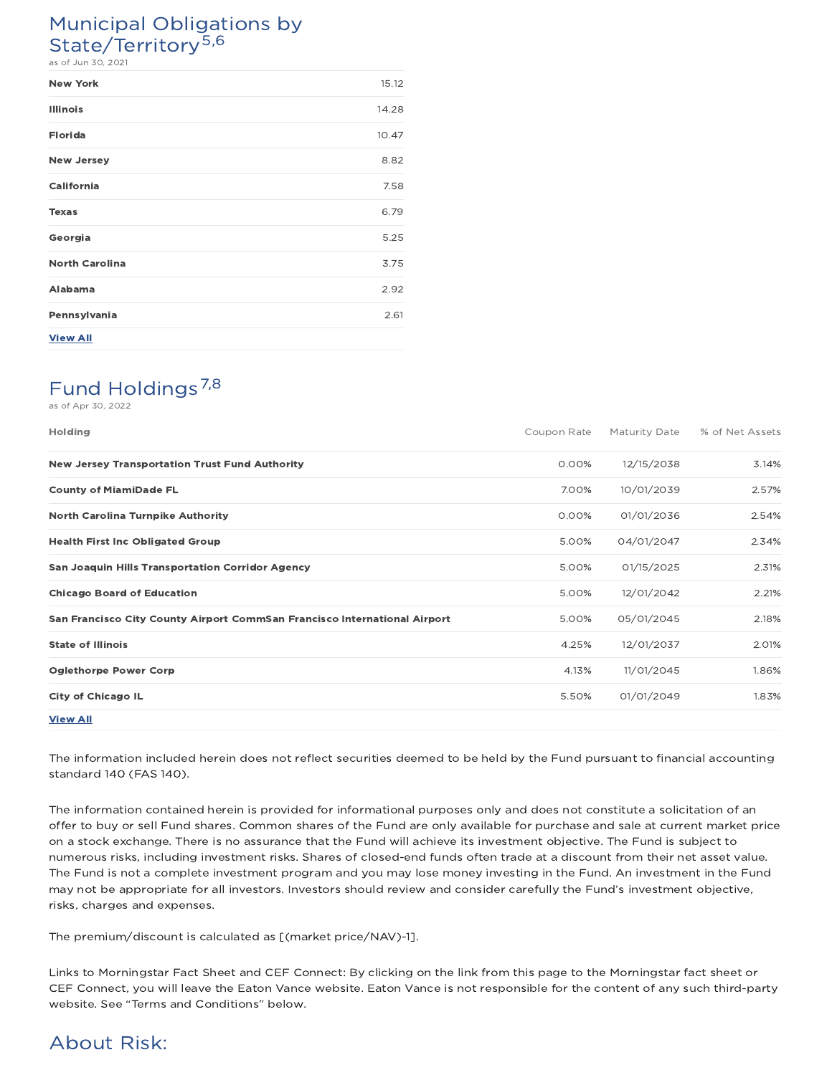# Municipal Obligations by State/Territory<sup>5,6</sup>

as of Jun 30, 2021

| <b>New York</b>       | 15.12 |
|-----------------------|-------|
| <b>Illinois</b>       | 14.28 |
| <b>Florida</b>        | 10.47 |
| <b>New Jersey</b>     | 8.82  |
| California            | 7.58  |
| <b>Texas</b>          | 6.79  |
| Georgia               | 5.25  |
| <b>North Carolina</b> | 3.75  |
| Alabama               | 2.92  |
| Pennsylvania          | 2.61  |
| <b>View All</b>       |       |

# Fund Holdings<sup>7,8</sup>

as of Apr 30, 2022

| <b>Holding</b>                                                            | Coupon Rate | <b>Maturity Date</b> | % of Net Assets |
|---------------------------------------------------------------------------|-------------|----------------------|-----------------|
| <b>New Jersey Transportation Trust Fund Authority</b>                     | 0.00%       | 12/15/2038           | 3.14%           |
| <b>County of MiamiDade FL</b>                                             | 7.00%       | 10/01/2039           | 2.57%           |
| <b>North Carolina Turnpike Authority</b>                                  | 0.00%       | 01/01/2036           | 2.54%           |
| <b>Health First Inc Obligated Group</b>                                   | 5.00%       | 04/01/2047           | 2.34%           |
| <b>San Joaquin Hills Transportation Corridor Agency</b>                   | 5.00%       | 01/15/2025           | 2.31%           |
| <b>Chicago Board of Education</b>                                         | 5.00%       | 12/01/2042           | 2.21%           |
| San Francisco City County Airport CommSan Francisco International Airport | 5.00%       | 05/01/2045           | 2.18%           |
| <b>State of Illinois</b>                                                  | 4.25%       | 12/01/2037           | 2.01%           |
| <b>Oglethorpe Power Corp</b>                                              | 4.13%       | 11/01/2045           | 1.86%           |
| <b>City of Chicago IL</b>                                                 | 5.50%       | 01/01/2049           | 1.83%           |
| <b>View All</b>                                                           |             |                      |                 |

The information included herein does not reflect securities deemed to be held by the Fund pursuant to financial accounting standard 140 (FAS 140).

The information contained herein is provided for informational purposes only and does not constitute a solicitation of an offer to buy or sell Fund shares. Common shares of the Fund are only available for purchase and sale at current market price on a stock exchange. There is no assurance that the Fund will achieve its investment objective. The Fund is subject to numerous risks, including investment risks. Shares of closed-end funds often trade at a discount from their net asset value. The Fund is not a complete investment program and you may lose money investing in the Fund. An investment in the Fund may not be appropriate for all investors. Investors should review and consider carefully the Fund's investment objective, risks, charges and expenses.

The premium/discount is calculated as [(market price/NAV)-1].

Links to Morningstar Fact Sheet and CEF Connect: By clicking on the link from this page to the Morningstar fact sheet or CEF Connect, you will leave the Eaton Vance website. Eaton Vance is not responsible for the content of any such third-party website. See "Terms and Conditions" below.

# About Risk: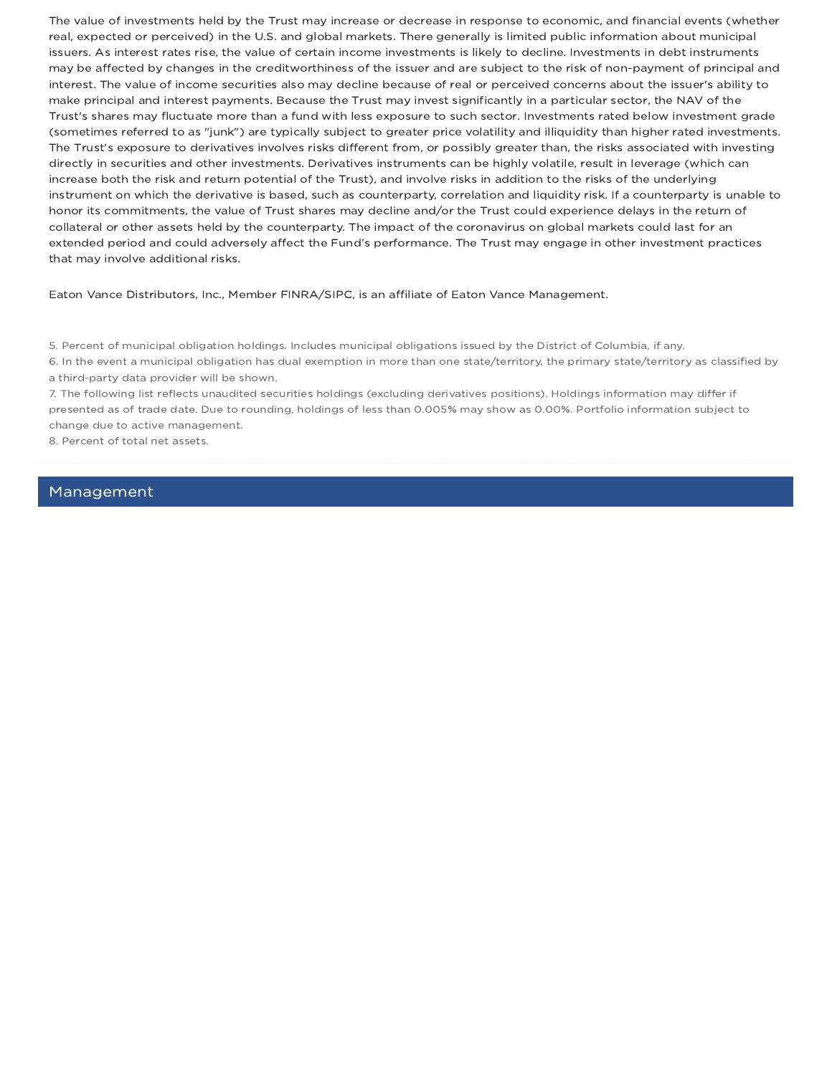The value of investments held by the Trust may increase or decrease in response to economic, and financial events (whether real, expected or perceived) in the U.S. and global markets. There generally is limited public information about municipal issuers. As interest rates rise, the value of certain income investments is likely to decline. Investments in debt instruments may be affected by changes in the creditworthiness of the issuer and are subject to the risk of non-payment of principal and interest. The value of income securities also may decline because of real or perceived concerns about the issuer's ability to make principal and interest payments. Because the Trust may invest significantly in a particular sector, the NAV of the Trust's shares may fluctuate more than a fund with less exposure to such sector. Investments rated below investment grade (sometimes referred to as "junk") are typically subject to greater price volatility and illiquidity than higher rated investments. The Trust's exposure to derivatives involves risks different from, or possibly greater than, the risks associated with investing directly in securities and other investments. Derivatives instruments can be highly volatile, result in leverage (which can increase both the risk and return potential of the Trust), and involve risks in addition to the risks of the underlying instrument on which the derivative is based, such as counterparty, correlation and liquidity risk. If a counterparty is unable to honor its commitments, the value of Trust shares may decline and/or the Trust could experience delays in the return of collateral or other assets held by the counterparty. The impact of the coronavirus on global markets could last for an extended period and could adversely affect the Fund's performance. The Trust may engage in other investment practices that may involve additional risks.

Eaton Vance Distributors, Inc., Member FINRA/SIPC, is an affiliate of Eaton Vance Management.

5. Percent of municipal obligation holdings. Includes municipal obligations issued by the District of Columbia, if any.

6. In the event a municipal obligation has dual exemption in more than one state/territory, the primary state/territory as classified by a third-party data provider will be shown.

7. The following list reflects unaudited securities holdings (excluding derivatives positions). Holdings information may differ if presented as of trade date. Due to rounding, holdings of less than 0.005% may show as 0.00%. Portfolio information subject to change due to active management.

8. Percent of total net assets.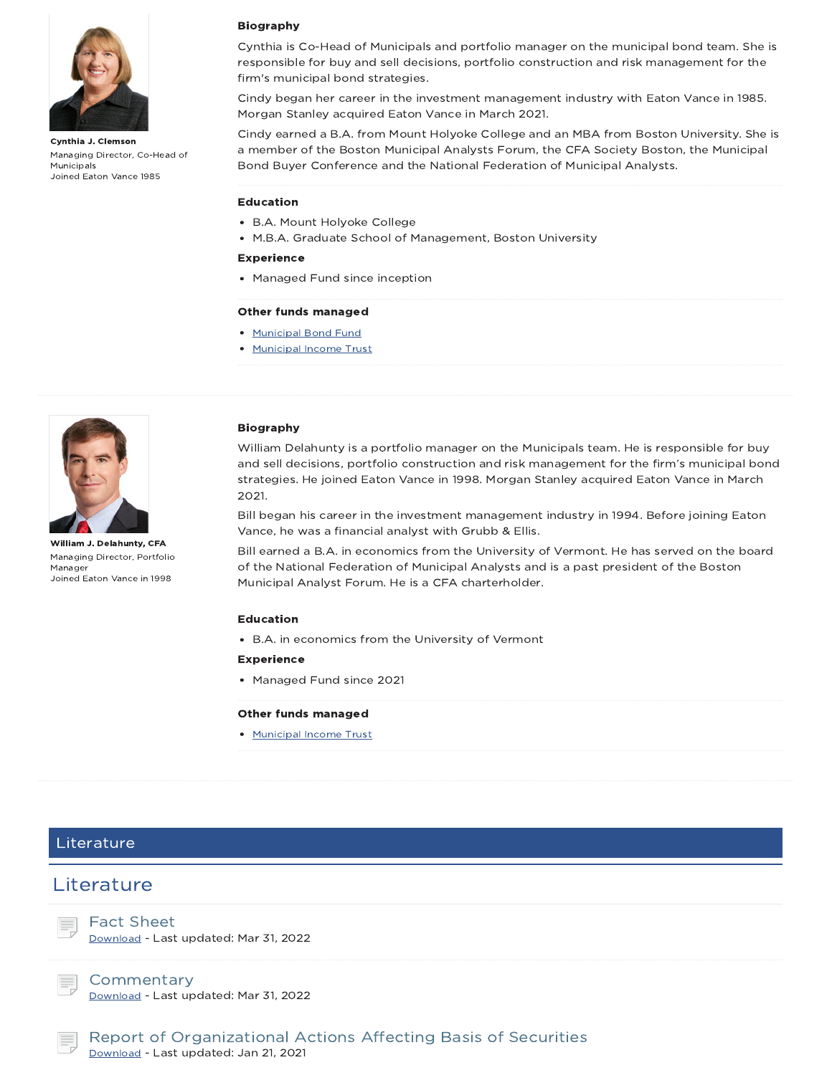

Cynthia J. Clemson Managing Director, Co-Head of Municipals Joined Eaton Vance 1985

### Biography

Cynthia is Co-Head of Municipals and portfolio manager on the municipal bond team. She is responsible for buy and sell decisions, portfolio construction and risk management for the firm's municipal bond strategies.

Cindy began her career in the investment management industry with Eaton Vance in 1985. Morgan Stanley acquired Eaton Vance in March 2021.

Cindy earned a B.A. from Mount Holyoke College and an MBA from Boston University. She is a member of the Boston Municipal Analysts Forum, the CFA Society Boston, the Municipal Bond Buyer Conference and the National Federation of Municipal Analysts.

#### Education

- B.A. Mount Holyoke College
- M.B.A. Graduate School of Management, Boston University

#### Experience

Managed Fund since inception

#### Other funds managed

- Municipal Bond Fund
- Municipal Income Trust



William J. Delahunty, CFA Managing Director, Portfolio Manager Joined Eaton Vance in 1998

#### Biography

William Delahunty is a portfolio manager on the Municipals team. He is responsible for buy and sell decisions, portfolio construction and risk management for the firm's municipal bond strategies. He joined Eaton Vance in 1998. Morgan Stanley acquired Eaton Vance in March 2021.

Bill began his career in the investment management industry in 1994. Before joining Eaton Vance, he was a financial analyst with Grubb & Ellis.

Bill earned a B.A. in economics from the University of Vermont. He has served on the board of the National Federation of Municipal Analysts and is a past president of the Boston Municipal Analyst Forum. He is a CFA charterholder.

#### Education

B.A. in economics from the University of Vermont

### Experience

Managed Fund since 2021

#### Other funds managed

• Municipal Income Trust

### Literature

### **Literature**

Fact Sheet Download - Last updated: Mar 31, 2022

**Commentary** Download - Last updated: Mar 31, 2022

Report of Organizational Actions Affecting Basis of Securities Download - Last updated: Jan 21, 2021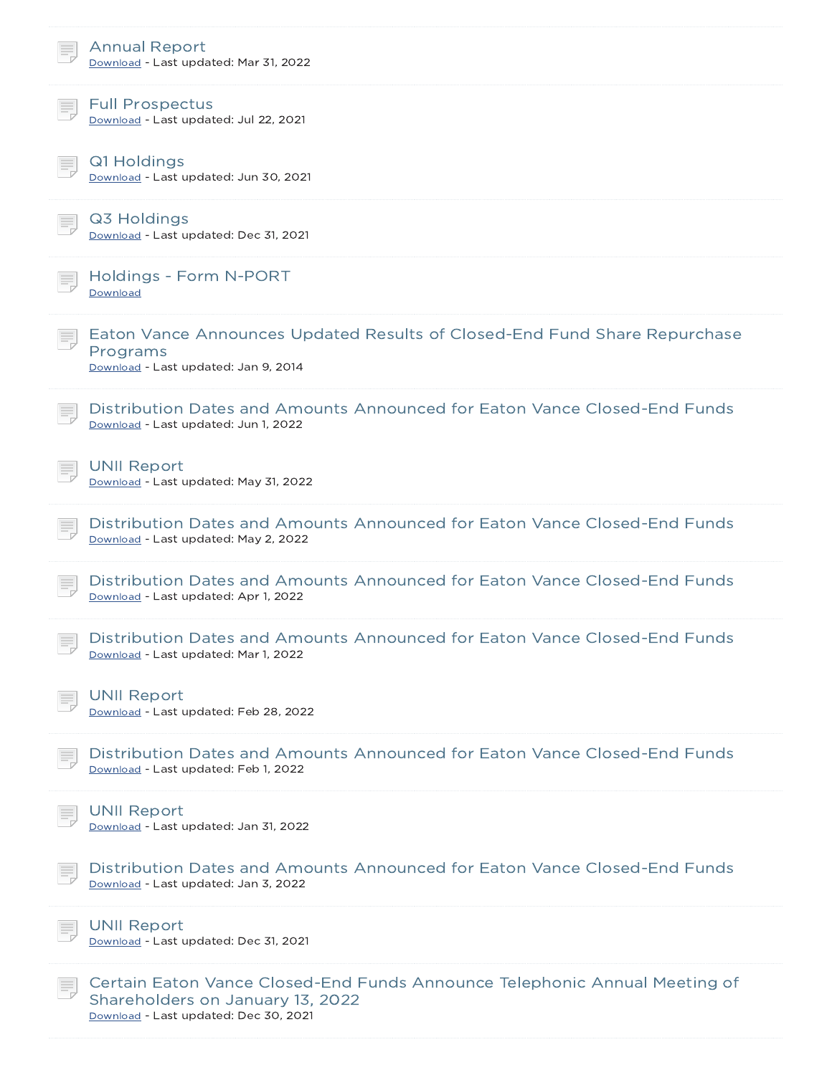| <b>Annual Report</b><br>Download - Last updated: Mar 31, 2022                                                                                           |
|---------------------------------------------------------------------------------------------------------------------------------------------------------|
| <b>Full Prospectus</b><br>Download - Last updated: Jul 22, 2021                                                                                         |
| Q1 Holdings<br>Download - Last updated: Jun 30, 2021                                                                                                    |
| Q3 Holdings<br>Download - Last updated: Dec 31, 2021                                                                                                    |
| <b>Holdings - Form N-PORT</b><br>Download                                                                                                               |
| Eaton Vance Announces Updated Results of Closed-End Fund Share Repurchase<br>Programs<br>Download - Last updated: Jan 9, 2014                           |
| Distribution Dates and Amounts Announced for Eaton Vance Closed-End Funds<br>Download - Last updated: Jun 1, 2022                                       |
| <b>UNII Report</b><br>Download - Last updated: May 31, 2022                                                                                             |
| Distribution Dates and Amounts Announced for Eaton Vance Closed-End Funds<br>Download - Last updated: May 2, 2022                                       |
| Distribution Dates and Amounts Announced for Eaton Vance Closed-End Funds<br>Download - Last updated: Apr 1, 2022                                       |
| Distribution Dates and Amounts Announced for Eaton Vance Closed-End Funds<br>Download - Last updated: Mar 1, 2022                                       |
| <b>UNII Report</b><br>Download - Last updated: Feb 28, 2022                                                                                             |
| Distribution Dates and Amounts Announced for Eaton Vance Closed-End Funds<br>Download - Last updated: Feb 1, 2022                                       |
| <b>UNII Report</b><br>Download - Last updated: Jan 31, 2022                                                                                             |
| Distribution Dates and Amounts Announced for Eaton Vance Closed-End Funds<br>Download - Last updated: Jan 3, 2022                                       |
| <b>UNII Report</b><br>Download - Last updated: Dec 31, 2021                                                                                             |
| Certain Eaton Vance Closed-End Funds Announce Telephonic Annual Meeting of<br>Shareholders on January 13, 2022<br>Download - Last updated: Dec 30, 2021 |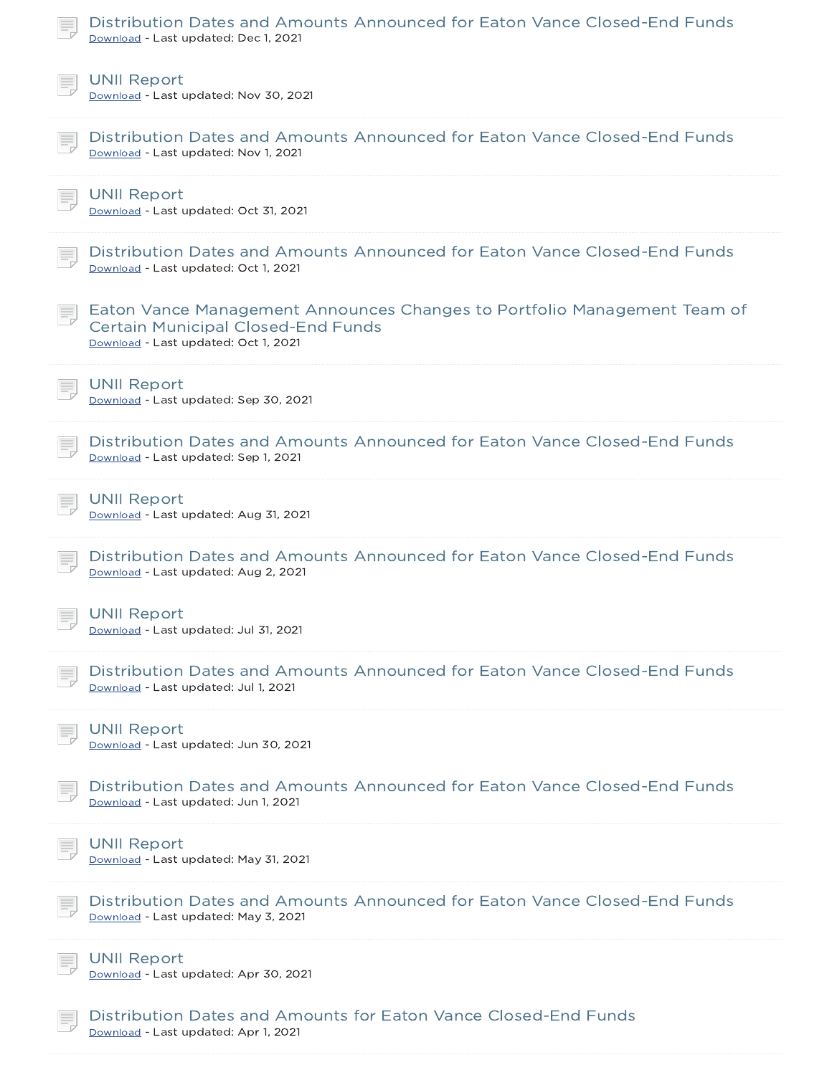| Distribution Dates and Amounts Announced for Eaton Vance Closed-End Funds<br>Download - Last updated: Dec 1, 2021                                             |
|---------------------------------------------------------------------------------------------------------------------------------------------------------------|
| <b>UNII Report</b><br>Download - Last updated: Nov 30, 2021                                                                                                   |
| Distribution Dates and Amounts Announced for Eaton Vance Closed-End Funds<br>Download - Last updated: Nov 1, 2021                                             |
| <b>UNII Report</b><br>Download - Last updated: Oct 31, 2021                                                                                                   |
| Distribution Dates and Amounts Announced for Eaton Vance Closed-End Funds<br>Download - Last updated: Oct 1, 2021                                             |
| Eaton Vance Management Announces Changes to Portfolio Management Team of<br><b>Certain Municipal Closed-End Funds</b><br>Download - Last updated: Oct 1, 2021 |
| <b>UNII Report</b><br>Download - Last updated: Sep 30, 2021                                                                                                   |
| Distribution Dates and Amounts Announced for Eaton Vance Closed-End Funds<br>Download - Last updated: Sep 1, 2021                                             |
| <b>UNII Report</b><br>Download - Last updated: Aug 31, 2021                                                                                                   |
| Distribution Dates and Amounts Announced for Eaton Vance Closed-End Funds<br>Download - Last updated: Aug 2, 2021                                             |
| <b>UNII Report</b><br>Download - Last updated: Jul 31, 2021                                                                                                   |
| Distribution Dates and Amounts Announced for Eaton Vance Closed-End Funds<br>Download - Last updated: Jul 1, 2021                                             |
| <b>UNII Report</b><br>Download - Last updated: Jun 30, 2021                                                                                                   |
| Distribution Dates and Amounts Announced for Eaton Vance Closed-End Funds<br>Download - Last updated: Jun 1, 2021                                             |
| <b>UNII Report</b><br>Download - Last updated: May 31, 2021                                                                                                   |
| Distribution Dates and Amounts Announced for Eaton Vance Closed-End Funds<br>Download - Last updated: May 3, 2021                                             |
| <b>UNII Report</b><br>Download - Last updated: Apr 30, 2021                                                                                                   |
| Distribution Dates and Amounts for Eaton Vance Closed-End Funds<br>Download - Last updated: Apr 1, 2021                                                       |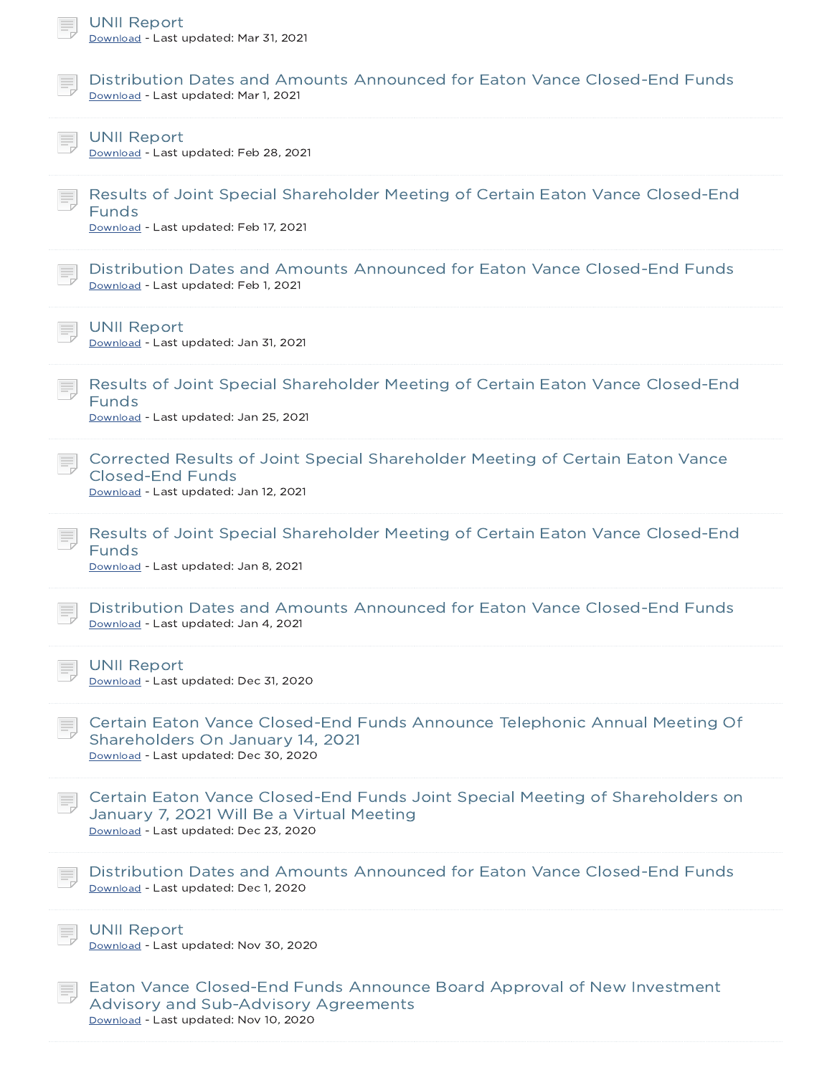| <b>UNII Report</b><br>Download - Last updated: Mar 31, 2021                                                                                                         |
|---------------------------------------------------------------------------------------------------------------------------------------------------------------------|
| Distribution Dates and Amounts Announced for Eaton Vance Closed-End Funds<br>Download - Last updated: Mar 1, 2021                                                   |
| <b>UNII Report</b><br>Download - Last updated: Feb 28, 2021                                                                                                         |
| Results of Joint Special Shareholder Meeting of Certain Eaton Vance Closed-End<br><b>Funds</b><br>Download - Last updated: Feb 17, 2021                             |
| Distribution Dates and Amounts Announced for Eaton Vance Closed-End Funds<br>Download - Last updated: Feb 1, 2021                                                   |
| <b>UNII Report</b><br>Download - Last updated: Jan 31, 2021                                                                                                         |
| Results of Joint Special Shareholder Meeting of Certain Eaton Vance Closed-End<br>Funds<br>Download - Last updated: Jan 25, 2021                                    |
| Corrected Results of Joint Special Shareholder Meeting of Certain Eaton Vance<br><b>Closed-End Funds</b><br>Download - Last updated: Jan 12, 2021                   |
| Results of Joint Special Shareholder Meeting of Certain Eaton Vance Closed-End<br>Funds<br>Download - Last updated: Jan 8, 2021                                     |
| Distribution Dates and Amounts Announced for Eaton Vance Closed-End Funds<br>Download - Last updated: Jan 4, 2021                                                   |
| <b>UNII Report</b><br>Download - Last updated: Dec 31, 2020                                                                                                         |
| Certain Eaton Vance Closed-End Funds Announce Telephonic Annual Meeting Of<br>Shareholders On January 14, 2021<br>Download - Last updated: Dec 30, 2020             |
| Certain Eaton Vance Closed-End Funds Joint Special Meeting of Shareholders on<br>January 7, 2021 Will Be a Virtual Meeting<br>Download - Last updated: Dec 23, 2020 |
| Distribution Dates and Amounts Announced for Eaton Vance Closed-End Funds<br>Download - Last updated: Dec 1, 2020                                                   |
| <b>UNII Report</b>                                                                                                                                                  |

Download - Last updated: Nov 30, 2020

言。

Eaton Vance Closed-End Funds Announce Board Approval of New Investment Advisory and Sub-Advisory Agreements Download - Last updated: Nov 10, 2020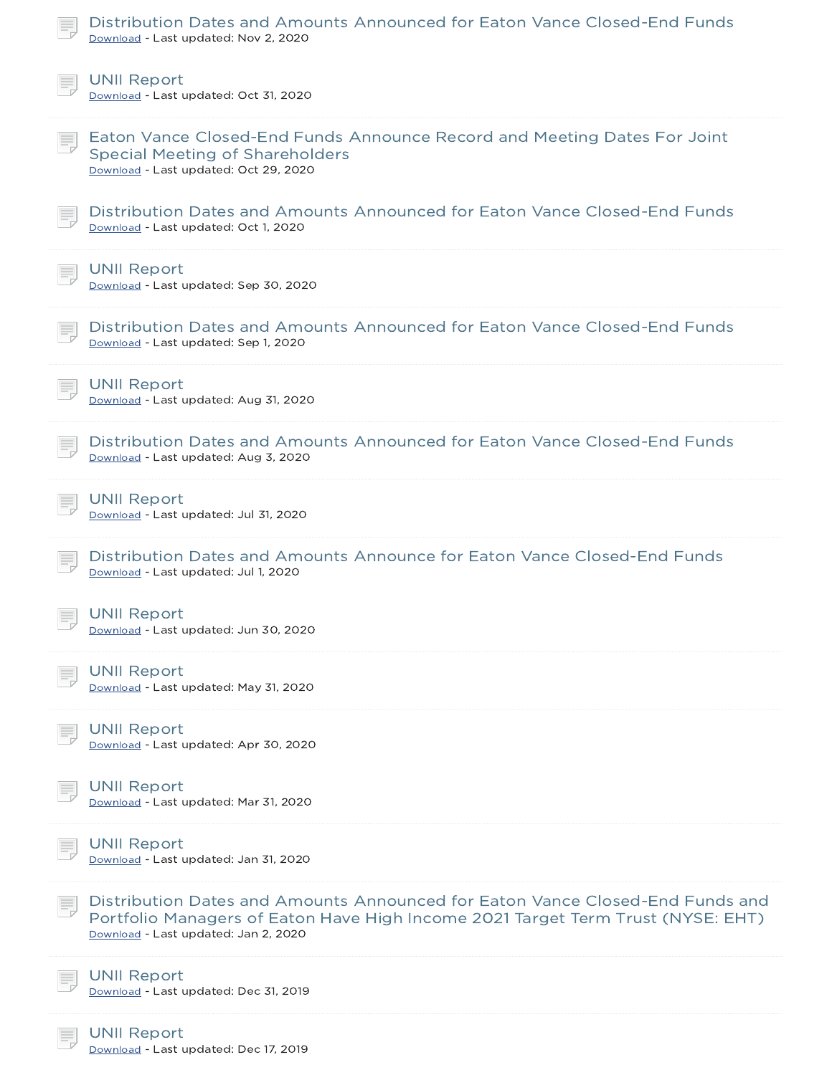| Distribution Dates and Amounts Announced for Eaton Vance Closed-End Funds<br>Download - Last updated: Nov 2, 2020                                                                                        |
|----------------------------------------------------------------------------------------------------------------------------------------------------------------------------------------------------------|
| <b>UNII Report</b><br>Download - Last updated: Oct 31, 2020                                                                                                                                              |
| Eaton Vance Closed-End Funds Announce Record and Meeting Dates For Joint<br><b>Special Meeting of Shareholders</b><br>Download - Last updated: Oct 29, 2020                                              |
| Distribution Dates and Amounts Announced for Eaton Vance Closed-End Funds<br>Download - Last updated: Oct 1, 2020                                                                                        |
| <b>UNII Report</b><br>Download - Last updated: Sep 30, 2020                                                                                                                                              |
| Distribution Dates and Amounts Announced for Eaton Vance Closed-End Funds<br>Download - Last updated: Sep 1, 2020                                                                                        |
| <b>UNII Report</b><br>Download - Last updated: Aug 31, 2020                                                                                                                                              |
| Distribution Dates and Amounts Announced for Eaton Vance Closed-End Funds<br>Download - Last updated: Aug 3, 2020                                                                                        |
| <b>UNII Report</b><br>Download - Last updated: Jul 31, 2020                                                                                                                                              |
| Distribution Dates and Amounts Announce for Eaton Vance Closed-End Funds<br>Download - Last updated: Jul 1, 2020                                                                                         |
| <b>UNII Report</b><br>Download - Last updated: Jun 30, 2020                                                                                                                                              |
| <b>UNII Report</b><br>Download - Last updated: May 31, 2020                                                                                                                                              |
| <b>UNII Report</b><br>Download - Last updated: Apr 30, 2020                                                                                                                                              |
| <b>UNII Report</b><br>Download - Last updated: Mar 31, 2020                                                                                                                                              |
| <b>UNII Report</b><br>Download - Last updated: Jan 31, 2020                                                                                                                                              |
| Distribution Dates and Amounts Announced for Eaton Vance Closed-End Funds and<br>Portfolio Managers of Eaton Have High Income 2021 Target Term Trust (NYSE: EHT)<br>Download - Last updated: Jan 2, 2020 |
| <b>UNII Report</b><br>Download - Last updated: Dec 31, 2019                                                                                                                                              |
| <b>UNII Report</b>                                                                                                                                                                                       |

Download - Last updated: Dec 17, 2019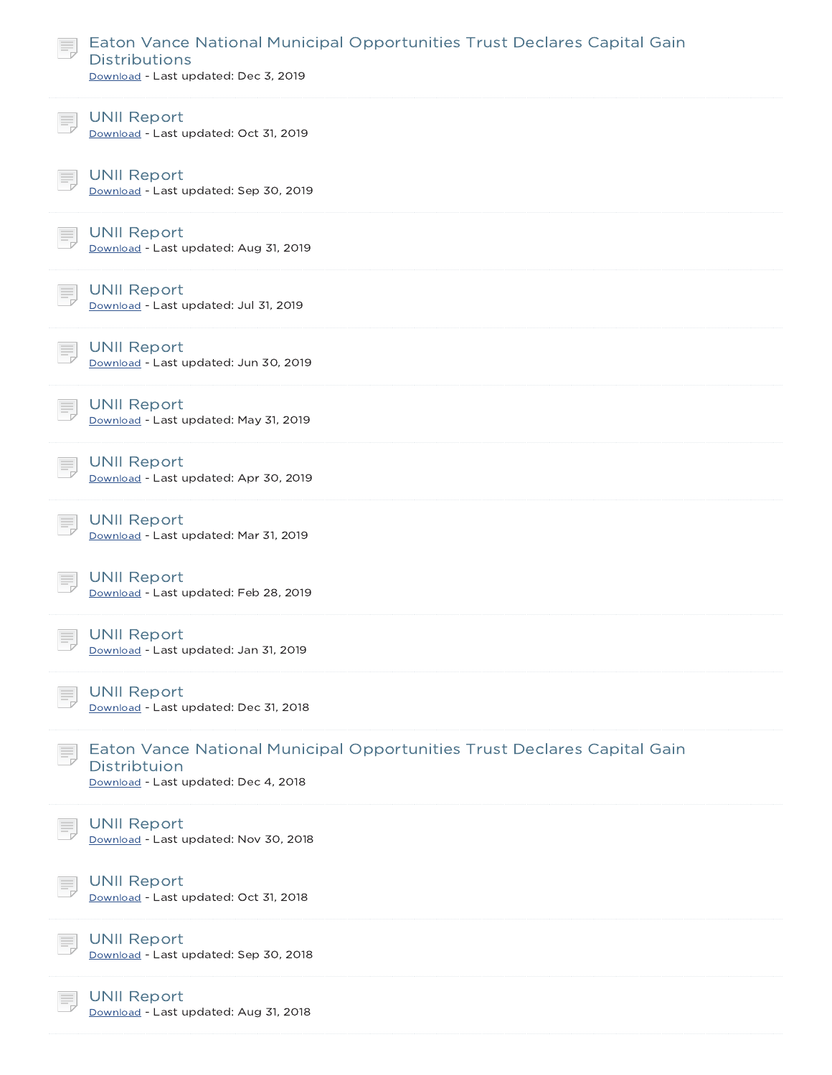| Eaton Vance National Municipal Opportunities Trust Declares Capital Gain<br><b>Distributions</b><br>Download - Last updated: Dec 3, 2019 |  |
|------------------------------------------------------------------------------------------------------------------------------------------|--|
| <b>UNII Report</b><br>Download - Last updated: Oct 31, 2019                                                                              |  |
| <b>UNII Report</b><br>Download - Last updated: Sep 30, 2019                                                                              |  |
| <b>UNII Report</b><br>Download - Last updated: Aug 31, 2019                                                                              |  |
| <b>UNII Report</b><br>Download - Last updated: Jul 31, 2019                                                                              |  |
| <b>UNII Report</b><br>Download - Last updated: Jun 30, 2019                                                                              |  |
| <b>UNII Report</b><br>Download - Last updated: May 31, 2019                                                                              |  |
| <b>UNII Report</b><br>Download - Last updated: Apr 30, 2019                                                                              |  |
| <b>UNII Report</b><br>Download - Last updated: Mar 31, 2019                                                                              |  |
| <b>UNII Report</b><br>Download - Last updated: Feb 28, 2019                                                                              |  |
| UNII Report<br>Download - Last updated: Jan 31, 2019                                                                                     |  |
| <b>UNII Report</b><br>Download - Last updated: Dec 31, 2018                                                                              |  |
| Eaton Vance National Municipal Opportunities Trust Declares Capital Gain<br>Distribtuion<br>Download - Last updated: Dec 4, 2018         |  |
| <b>UNII Report</b><br>Download - Last updated: Nov 30, 2018                                                                              |  |
| <b>UNII Report</b><br>Download - Last updated: Oct 31, 2018                                                                              |  |
| <b>UNII Report</b><br>Download - Last updated: Sep 30, 2018                                                                              |  |
| <b>UNII Report</b><br>Download - Last updated: Aug 31, 2018                                                                              |  |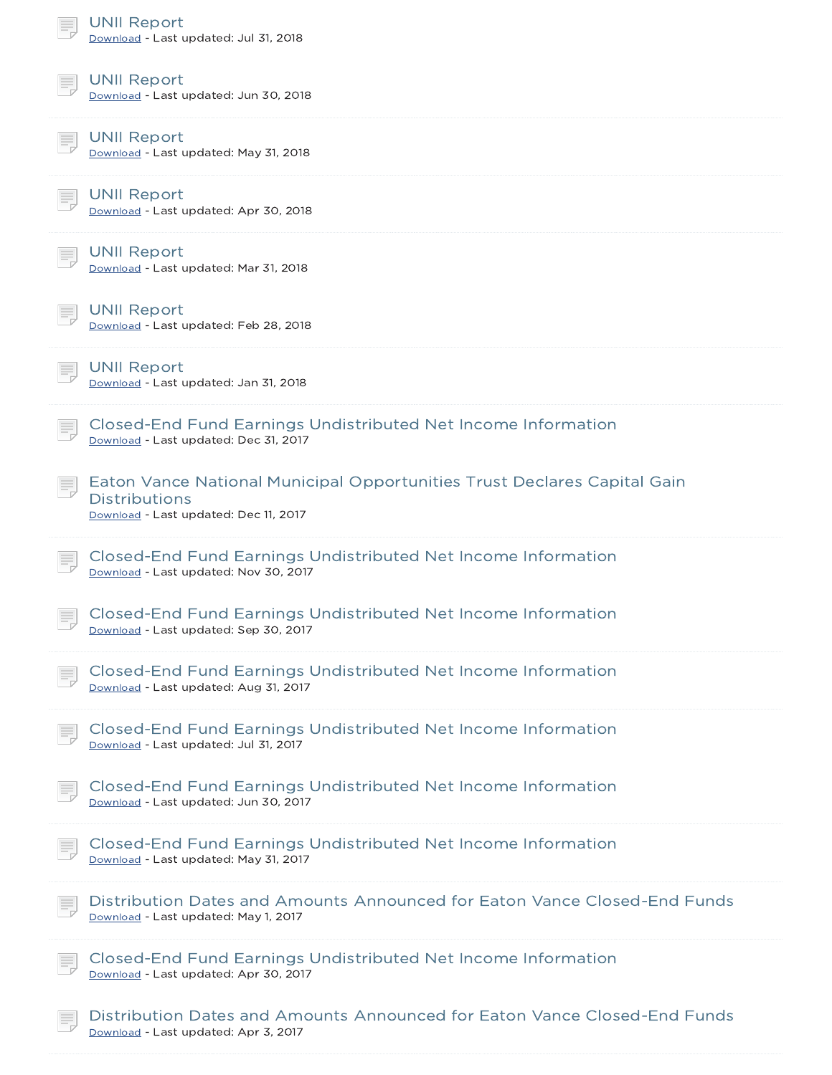| <b>UNII Report</b><br>Download - Last updated: Jul 31, 2018                                                                               |
|-------------------------------------------------------------------------------------------------------------------------------------------|
| <b>UNII Report</b><br>Download - Last updated: Jun 30, 2018                                                                               |
| <b>UNII Report</b><br>Download - Last updated: May 31, 2018                                                                               |
| <b>UNII Report</b><br>Download - Last updated: Apr 30, 2018                                                                               |
| <b>UNII Report</b><br>Download - Last updated: Mar 31, 2018                                                                               |
| <b>UNII Report</b><br>Download - Last updated: Feb 28, 2018                                                                               |
| <b>UNII Report</b><br>Download - Last updated: Jan 31, 2018                                                                               |
| Closed-End Fund Earnings Undistributed Net Income Information<br>Download - Last updated: Dec 31, 2017                                    |
| Eaton Vance National Municipal Opportunities Trust Declares Capital Gain<br><b>Distributions</b><br>Download - Last updated: Dec 11, 2017 |
| Closed-End Fund Earnings Undistributed Net Income Information<br>Download - Last updated: Nov 30, 2017                                    |
| Closed-End Fund Earnings Undistributed Net Income Information<br>Download - Last updated: Sep 30, 2017                                    |
| Closed-End Fund Earnings Undistributed Net Income Information<br>Download - Last updated: Aug 31, 2017                                    |
| Closed-End Fund Earnings Undistributed Net Income Information<br>Download - Last updated: Jul 31, 2017                                    |
| Closed-End Fund Earnings Undistributed Net Income Information<br>Download - Last updated: Jun 30, 2017                                    |
| Closed-End Fund Earnings Undistributed Net Income Information<br>Download - Last updated: May 31, 2017                                    |
| Distribution Dates and Amounts Announced for Eaton Vance Closed-End Funds<br>Download - Last updated: May 1, 2017                         |
| Closed-End Fund Earnings Undistributed Net Income Information<br>Download - Last updated: Apr 30, 2017                                    |
| Distribution Dates and Amounts Announced for Eaton Vance Closed-End Funds<br>Download - Last undated: Apr 3, 2017                         |

- Last updated: Apr 3, 2017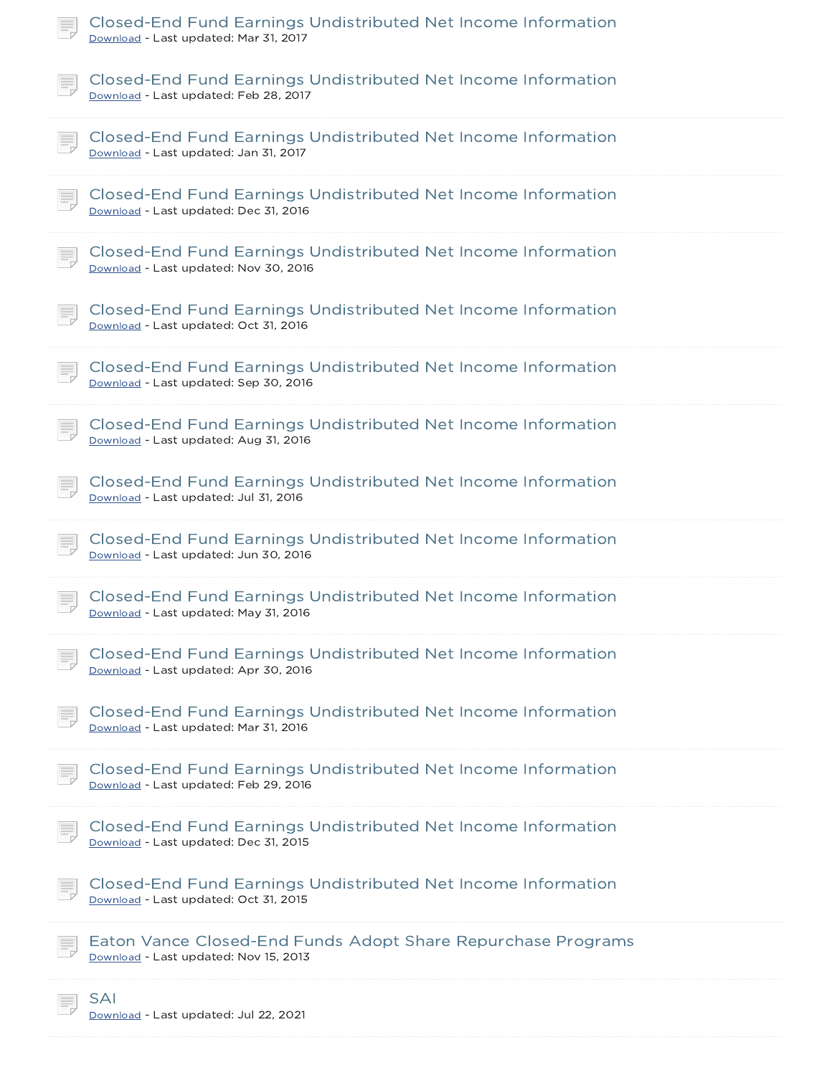| Closed-End Fund Earnings Undistributed Net Income Information<br>Download - Last updated: Mar 31, 2017 |
|--------------------------------------------------------------------------------------------------------|
| Closed-End Fund Earnings Undistributed Net Income Information<br>Download - Last updated: Feb 28, 2017 |
| Closed-End Fund Earnings Undistributed Net Income Information<br>Download - Last updated: Jan 31, 2017 |
| Closed-End Fund Earnings Undistributed Net Income Information<br>Download - Last updated: Dec 31, 2016 |
| Closed-End Fund Earnings Undistributed Net Income Information<br>Download - Last updated: Nov 30, 2016 |
| Closed-End Fund Earnings Undistributed Net Income Information<br>Download - Last updated: Oct 31, 2016 |
| Closed-End Fund Earnings Undistributed Net Income Information<br>Download - Last updated: Sep 30, 2016 |
| Closed-End Fund Earnings Undistributed Net Income Information<br>Download - Last updated: Aug 31, 2016 |
| Closed-End Fund Earnings Undistributed Net Income Information<br>Download - Last updated: Jul 31, 2016 |
| Closed-End Fund Earnings Undistributed Net Income Information<br>Download - Last updated: Jun 30, 2016 |
| Closed-End Fund Earnings Undistributed Net Income Information<br>Download - Last updated: May 31, 2016 |
| Closed-End Fund Earnings Undistributed Net Income Information<br>Download - Last updated: Apr 30, 2016 |
| Closed-End Fund Earnings Undistributed Net Income Information<br>Download - Last updated: Mar 31, 2016 |
| Closed-End Fund Earnings Undistributed Net Income Information<br>Download - Last updated: Feb 29, 2016 |
| Closed-End Fund Earnings Undistributed Net Income Information<br>Download - Last updated: Dec 31, 2015 |
| Closed-End Fund Earnings Undistributed Net Income Information<br>Download - Last updated: Oct 31, 2015 |
| Eaton Vance Closed-End Funds Adopt Share Repurchase Programs<br>Download - Last updated: Nov 15, 2013  |
| SAI<br>Download - Last updated: Jul 22, 2021                                                           |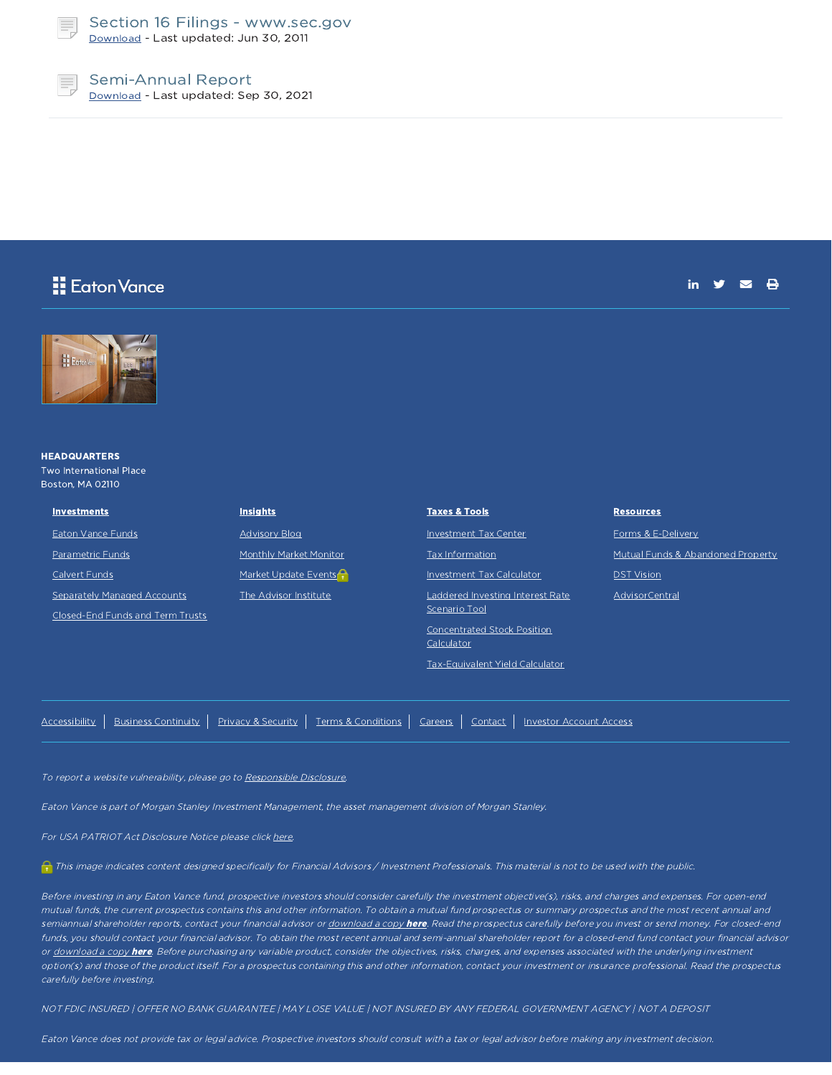

### Section 16 Filings - www.sec.gov Download - Last updated: Jun 30, 2011

Semi-Annual Report Download - Last updated: Sep 30, 2021

### **E** Eaton Vance

 $\triangleright$   $\triangleright$ 



To report a website vulnerability, please go to Responsible Disclosure.

Eaton Vance is part of Morgan Stanley Investment Management, the asset management division of Morgan Stanley.

For USA PATRIOT Act Disclosure Notice please click here.

This image indicates content designed specifically for Financial Advisors / Investment Professionals. This material is not to be used with the public.

Before investing in any Eaton Vance fund, prospective investors should consider carefully the investment objective(s), risks, and charges and expenses. For open-end mutual funds, the current prospectus contains this and other information. To obtain <sup>a</sup> mutual fund prospectus or summary prospectus and the most recent annual and semiannual shareholder reports, contact your financial advisor or download a copy here. Read the prospectus carefully before you invest or send money. For closed-end funds, you should contact your financial advisor. To obtain the most recent annual and semi-annual shareholder report for a closed-end fund contact your financial advisor or download a copy here. Before purchasing any variable product, consider the objectives, risks, charges, and expenses associated with the underlying investment option(s) and those of the product itself. For a prospectus containing this and other information, contact your investment or insurance professional. Read the prospectus carefully before investing.

NOT FDIC INSURED | OFFER NO BANK GUARANTEE | MAY LOSE VALUE | NOT INSURED BY ANY FEDERAL GOVERNMENT AGENCY | NOT A DEPOSIT

Eaton Vance does not provide tax or legal advice. Prospective investors should consult with <sup>a</sup> tax or legal advisor before making any investment decision.